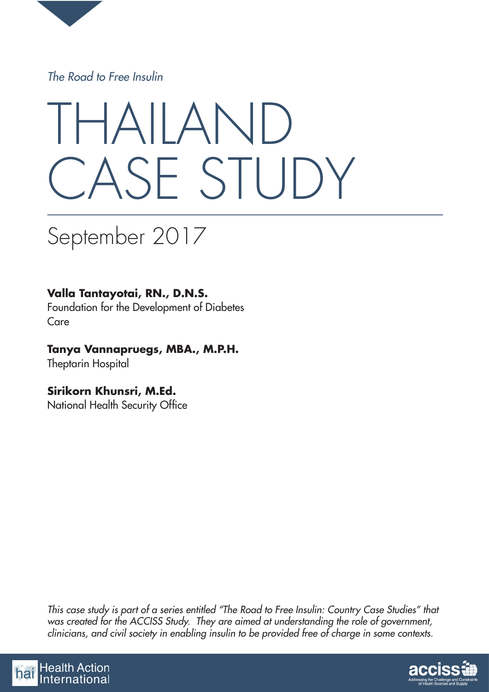

*The Road to Free Insulin*

# THAILAND CASE STUDY

## September 2017

## **Valla Tantayotai, RN., D.N.S.**

Foundation for the Development of Diabetes Care

## **Tanya Vannapruegs, MBA., M.P.H.**

Theptarin Hospital

## **Sirikorn Khunsri, M.Ed.**

National Health Security Office

*This case study is part of a series entitled "The Road to Free Insulin: Country Case Studies" that was created for the ACCISS Study. They are aimed at understanding the role of government, clinicians, and civil society in enabling insulin to be provided free of charge in some contexts.*



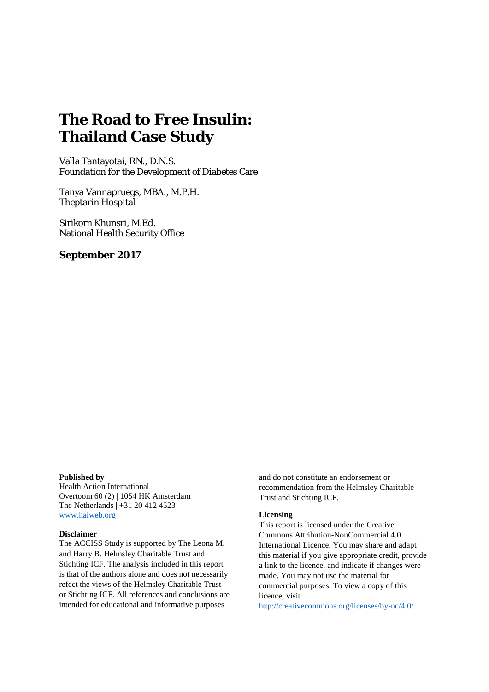## **The Road to Free Insulin: Thailand Case Study**

Valla Tantayotai, RN., D.N.S. Foundation for the Development of Diabetes Care

Tanya Vannapruegs, MBA., M.P.H. Theptarin Hospital

Sirikorn Khunsri, M.Ed. National Health Security Office

#### **September 2017**

#### **Published by**

Health Action International Overtoom 60 (2) | 1054 HK Amsterdam The Netherlands | +31 20 412 4523 [www.haiweb.org](http://www.haiweb.org/)

#### **Disclaimer**

The ACCISS Study is supported by The Leona M. and Harry B. Helmsley Charitable Trust and Stichting ICF. The analysis included in this report is that of the authors alone and does not necessarily refect the views of the Helmsley Charitable Trust or Stichting ICF. All references and conclusions are intended for educational and informative purposes

and do not constitute an endorsement or recommendation from the Helmsley Charitable Trust and Stichting ICF.

#### **Licensing**

This report is licensed under the Creative Commons Attribution-NonCommercial 4.0 International Licence. You may share and adapt this material if you give appropriate credit, provide a link to the licence, and indicate if changes were made. You may not use the material for commercial purposes. To view a copy of this licence, visit

<http://creativecommons.org/licenses/by-nc/4.0/>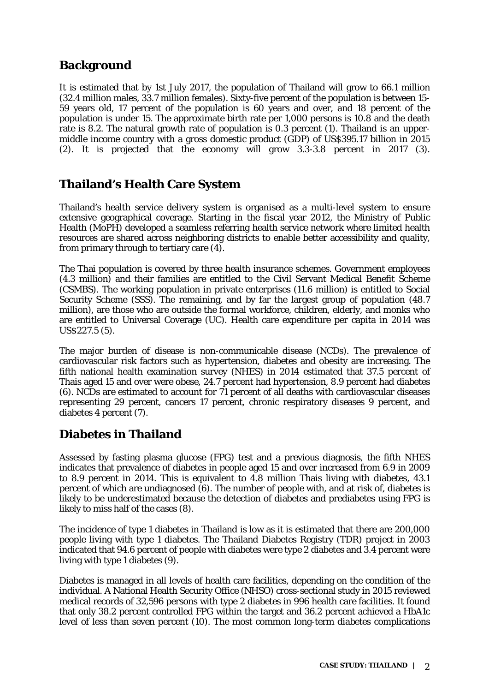## **Background**

It is estimated that by 1st July 2017, the population of Thailand will grow to 66.1 million (32.4 million males, 33.7 million females). Sixty-five percent of the population is between 15- 59 years old, 17 percent of the population is 60 years and over, and 18 percent of the population is under 15. The approximate birth rate per 1,000 persons is 10.8 and the death rate is 8.2. The natural growth rate of population is 0.3 percent (1). Thailand is an uppermiddle income country with a gross domestic product (GDP) of US\$395.17 billion in 2015 (2). It is projected that the economy will grow 3.3-3.8 percent in 2017 (3).

## **Thailand's Health Care System**

Thailand's health service delivery system is organised as a multi-level system to ensure extensive geographical coverage. Starting in the fiscal year 2012, the Ministry of Public Health (MoPH) developed a seamless referring health service network where limited health resources are shared across neighboring districts to enable better accessibility and quality, from primary through to tertiary care (4).

The Thai population is covered by three health insurance schemes. Government employees (4.3 million) and their families are entitled to the Civil Servant Medical Benefit Scheme (CSMBS). The working population in private enterprises (11.6 million) is entitled to Social Security Scheme (SSS). The remaining, and by far the largest group of population (48.7 million), are those who are outside the formal workforce, children, elderly, and monks who are entitled to Universal Coverage (UC). Health care expenditure per capita in 2014 was US\$227.5 (5).

The major burden of disease is non-communicable disease (NCDs). The prevalence of cardiovascular risk factors such as hypertension, diabetes and obesity are increasing. The fifth national health examination survey (NHES) in 2014 estimated that 37.5 percent of Thais aged 15 and over were obese, 24.7 percent had hypertension, 8.9 percent had diabetes (6). NCDs are estimated to account for 71 percent of all deaths with cardiovascular diseases representing 29 percent, cancers 17 percent, chronic respiratory diseases 9 percent, and diabetes 4 percent (7).

## **Diabetes in Thailand**

Assessed by fasting plasma glucose (FPG) test and a previous diagnosis, the fifth NHES indicates that prevalence of diabetes in people aged 15 and over increased from 6.9 in 2009 to 8.9 percent in 2014. This is equivalent to 4.8 million Thais living with diabetes, 43.1 percent of which are undiagnosed (6). The number of people with, and at risk of, diabetes is likely to be underestimated because the detection of diabetes and prediabetes using FPG is likely to miss half of the cases (8).

The incidence of type 1 diabetes in Thailand is low as it is estimated that there are 200,000 people living with type 1 diabetes. The Thailand Diabetes Registry (TDR) project in 2003 indicated that 94.6 percent of people with diabetes were type 2 diabetes and 3.4 percent were living with type 1 diabetes (9).

Diabetes is managed in all levels of health care facilities, depending on the condition of the individual. A National Health Security Office (NHSO) cross-sectional study in 2015 reviewed medical records of 32,596 persons with type 2 diabetes in 996 health care facilities. It found that only 38.2 percent controlled FPG within the target and 36.2 percent achieved a HbA1c level of less than seven percent (10). The most common long-term diabetes complications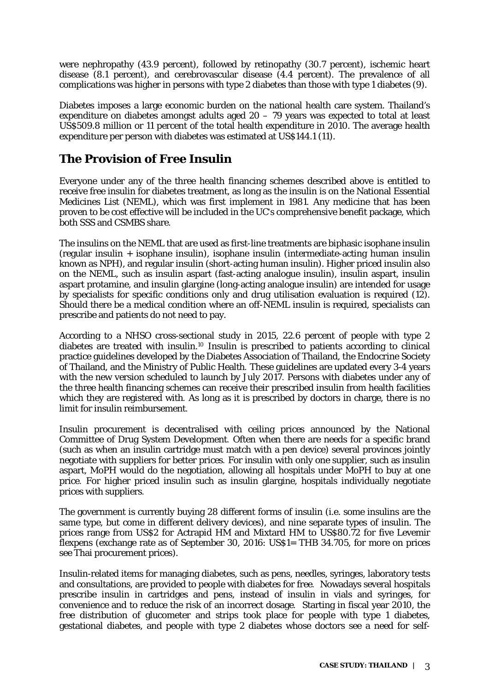were nephropathy (43.9 percent), followed by retinopathy (30.7 percent), ischemic heart disease (8.1 percent), and cerebrovascular disease (4.4 percent). The prevalence of all complications was higher in persons with type 2 diabetes than those with type 1 diabetes (9).

Diabetes imposes a large economic burden on the national health care system. Thailand's expenditure on diabetes amongst adults aged 20 – 79 years was expected to total at least US\$509.8 million or 11 percent of the total health expenditure in 2010. The average health expenditure per person with diabetes was estimated at US\$144.1 (11).

## **The Provision of Free Insulin**

Everyone under any of the three health financing schemes described above is entitled to receive free insulin for diabetes treatment, as long as the insulin is on the National Essential Medicines List (NEML), which was first implement in 1981. Any medicine that has been proven to be cost effective will be included in the UC's comprehensive benefit package, which both SSS and CSMBS share.

The insulins on the NEML that are used as first-line treatments are biphasic isophane insulin (regular insulin + isophane insulin), isophane insulin (intermediate-acting human insulin known as NPH), and regular insulin (short-acting human insulin). Higher priced insulin also on the NEML, such as insulin aspart (fast-acting analogue insulin), insulin aspart, insulin aspart protamine, and insulin glargine (long-acting analogue insulin) are intended for usage by specialists for specific conditions only and drug utilisation evaluation is required (12). Should there be a medical condition where an off-NEML insulin is required, specialists can prescribe and patients do not need to pay.

According to a NHSO cross-sectional study in 2015, 22.6 percent of people with type 2 diabetes are treated with insulin.10 Insulin is prescribed to patients according to clinical practice guidelines developed by the Diabetes Association of Thailand, the Endocrine Society of Thailand, and the Ministry of Public Health. These guidelines are updated every 3-4 years with the new version scheduled to launch by July 2017. Persons with diabetes under any of the three health financing schemes can receive their prescribed insulin from health facilities which they are registered with. As long as it is prescribed by doctors in charge, there is no limit for insulin reimbursement.

Insulin procurement is decentralised with ceiling prices announced by the National Committee of Drug System Development. Often when there are needs for a specific brand (such as when an insulin cartridge must match with a pen device) several provinces jointly negotiate with suppliers for better prices. For insulin with only one supplier, such as insulin aspart, MoPH would do the negotiation, allowing all hospitals under MoPH to buy at one price. For higher priced insulin such as insulin glargine, hospitals individually negotiate prices with suppliers.

The government is currently buying 28 different forms of insulin (i.e. some insulins are the same type, but come in different delivery devices), and nine separate types of insulin. The prices range from US\$2 for Actrapid HM and Mixtard HM to US\$80.72 for five Levemir flexpens (exchange rate as of September 30, 2016: US\$1= THB 34.705, for more on prices see Thai procurement prices).

Insulin-related items for managing diabetes, such as pens, needles, syringes, laboratory tests and consultations, are provided to people with diabetes for free. Nowadays several hospitals prescribe insulin in cartridges and pens, instead of insulin in vials and syringes, for convenience and to reduce the risk of an incorrect dosage. Starting in fiscal year 2010, the free distribution of glucometer and strips took place for people with type 1 diabetes, gestational diabetes, and people with type 2 diabetes whose doctors see a need for self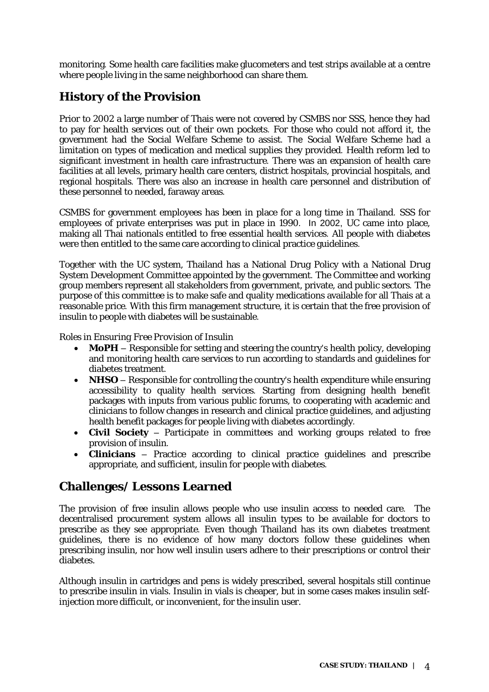monitoring. Some health care facilities make glucometers and test strips available at a centre where people living in the same neighborhood can share them.

## **History of the Provision**

Prior to 2002 a large number of Thais were not covered by CSMBS nor SSS, hence they had to pay for health services out of their own pockets. For those who could not afford it, the government had the Social Welfare Scheme to assist. The Social Welfare Scheme had a limitation on types of medication and medical supplies they provided. Health reform led to significant investment in health care infrastructure. There was an expansion of health care facilities at all levels, primary health care centers, district hospitals, provincial hospitals, and regional hospitals. There was also an increase in health care personnel and distribution of these personnel to needed, faraway areas.

CSMBS for government employees has been in place for a long time in Thailand. SSS for employees of private enterprises was put in place in 1990. In 2002, UC came into place, making all Thai nationals entitled to free essential health services. All people with diabetes were then entitled to the same care according to clinical practice guidelines.

Together with the UC system, Thailand has a National Drug Policy with a National Drug System Development Committee appointed by the government. The Committee and working group members represent all stakeholders from government, private, and public sectors. The purpose of this committee is to make safe and quality medications available for all Thais at a reasonable price. With this firm management structure, it is certain that the free provision of insulin to people with diabetes will be sustainable.

#### *Roles in Ensuring Free Provision of Insulin*

- **MoPH** Responsible for setting and steering the country's health policy, developing and monitoring health care services to run according to standards and guidelines for diabetes treatment.
- **NHSO** Responsible for controlling the country's health expenditure while ensuring accessibility to quality health services. Starting from designing health benefit packages with inputs from various public forums, to cooperating with academic and clinicians to follow changes in research and clinical practice guidelines, and adjusting health benefit packages for people living with diabetes accordingly.
- **Civil Society** Participate in committees and working groups related to free provision of insulin.
- **Clinicians** Practice according to clinical practice guidelines and prescribe appropriate, and sufficient, insulin for people with diabetes.

### **Challenges/ Lessons Learned**

The provision of free insulin allows people who use insulin access to needed care. The decentralised procurement system allows all insulin types to be available for doctors to prescribe as they see appropriate. Even though Thailand has its own diabetes treatment guidelines, there is no evidence of how many doctors follow these guidelines when prescribing insulin, nor how well insulin users adhere to their prescriptions or control their diabetes.

Although insulin in cartridges and pens is widely prescribed, several hospitals still continue to prescribe insulin in vials. Insulin in vials is cheaper, but in some cases makes insulin selfinjection more difficult, or inconvenient, for the insulin user.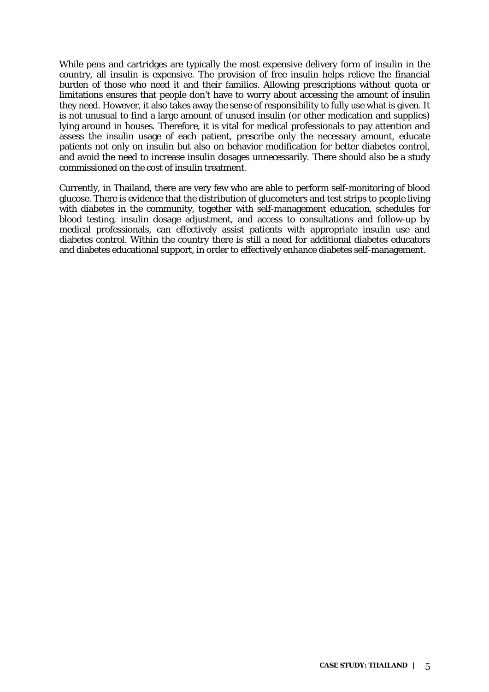While pens and cartridges are typically the most expensive delivery form of insulin in the country, all insulin is expensive. The provision of free insulin helps relieve the financial burden of those who need it and their families. Allowing prescriptions without quota or limitations ensures that people don't have to worry about accessing the amount of insulin they need. However, it also takes away the sense of responsibility to fully use what is given. It is not unusual to find a large amount of unused insulin (or other medication and supplies) lying around in houses. Therefore, it is vital for medical professionals to pay attention and assess the insulin usage of each patient, prescribe only the necessary amount, educate patients not only on insulin but also on behavior modification for better diabetes control, and avoid the need to increase insulin dosages unnecessarily. There should also be a study commissioned on the cost of insulin treatment.

Currently, in Thailand, there are very few who are able to perform self-monitoring of blood glucose. There is evidence that the distribution of glucometers and test strips to people living with diabetes in the community, together with self-management education, schedules for blood testing, insulin dosage adjustment, and access to consultations and follow-up by medical professionals, can effectively assist patients with appropriate insulin use and diabetes control. Within the country there is still a need for additional diabetes educators and diabetes educational support, in order to effectively enhance diabetes self-management.